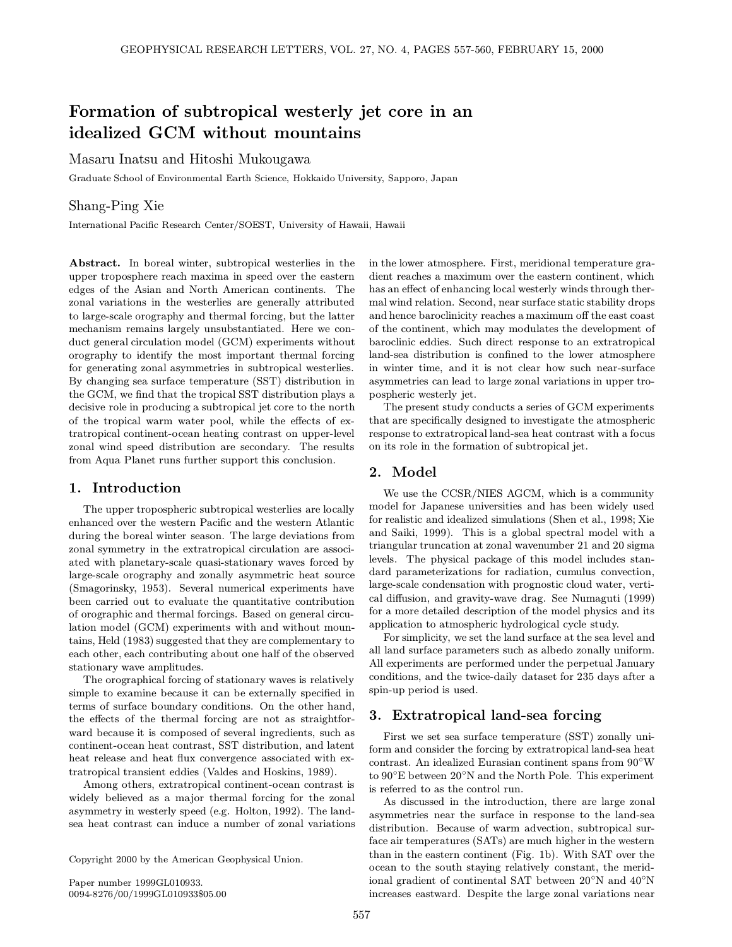# Formation of subtropical westerly jet core in an idealized GCM without mountains

Masaru Inatsu and Hitoshi Mukougawa

Graduate School of Environmental Earth Science, Hokkaido University, Sapporo, Japan

# Shang-Ping Xie

International Pacific Research Center/SOEST, University of Hawaii, Hawaii

Abstract. In boreal winter, subtropical westerlies in the upper troposphere reach maxima in speed over the eastern edges of the Asian and North American continents. The zonal variations in the westerlies are generally attributed to large-scale orography and thermal forcing, but the latter mechanism remains largely unsubstantiated. Here we conduct general circulation model (GCM) experiments without orography to identify the most important thermal forcing for generating zonal asymmetries in subtropical westerlies. By changing sea surface temperature (SST) distribution in the GCM, we find that the tropical SST distribution plays a decisive role in producing a subtropical jet core to the north of the tropical warm water pool, while the effects of extratropical continent-ocean heating contrast on upper-level zonal wind speed distribution are secondary. The results from Aqua Planet runs further support this conclusion.

# 1. Introduction

The upper tropospheric subtropical westerlies are locally enhanced over the western Pacific and the western Atlantic during the boreal winter season. The large deviations from zonal symmetry in the extratropical circulation are associated with planetary-scale quasi-stationary waves forced by large-scale orography and zonally asymmetric heat source (Smagorinsky, 1953). Several numerical experiments have been carried out to evaluate the quantitative contribution of orographic and thermal forcings. Based on general circulation model (GCM) experiments with and without mountains, Held (1983) suggested that they are complementary to each other, each contributing about one half of the observed stationary wave amplitudes.

The orographical forcing of stationary waves is relatively simple to examine because it can be externally specified in terms of surface boundary conditions. On the other hand, the effects of the thermal forcing are not as straightforward because it is composed of several ingredients, such as continent-ocean heat contrast, SST distribution, and latent heat release and heat flux convergence associated with extratropical transient eddies (Valdes and Hoskins, 1989).

Among others, extratropical continent-ocean contrast is widely believed as a major thermal forcing for the zonal asymmetry in westerly speed (e.g. Holton, 1992). The landsea heat contrast can induce a number of zonal variations

Copyright 2000 by the American Geophysical Union.

Paper number 1999GL010933. 0094-8276/00/1999GL010933\$05.00 in the lower atmosphere. First, meridional temperature gradient reaches a maximum over the eastern continent, which has an effect of enhancing local westerly winds through thermal wind relation. Second, near surface static stability drops and hence baroclinicity reaches a maximum off the east coast of the continent, which may modulates the development of baroclinic eddies. Such direct response to an extratropical land-sea distribution is confined to the lower atmosphere in winter time, and it is not clear how such near-surface asymmetries can lead to large zonal variations in upper tropospheric westerly jet.

The present study conducts a series of GCM experiments that are specifically designed to investigate the atmospheric response to extratropical land-sea heat contrast with a focus on its role in the formation of subtropical jet.

#### 2. Model

We use the CCSR/NIES AGCM, which is a community model for Japanese universities and has been widely used for realistic and idealized simulations (Shen et al., 1998; Xie and Saiki, 1999). This is a global spectral model with a triangular truncation at zonal wavenumber 21 and 20 sigma levels. The physical package of this model includes standard parameterizations for radiation, cumulus convection, large-scale condensation with prognostic cloud water, vertical diffusion, and gravity-wave drag. See Numaguti (1999) for a more detailed description of the model physics and its application to atmospheric hydrological cycle study.

For simplicity, we set the land surface at the sea level and all land surface parameters such as albedo zonally uniform. All experiments are performed under the perpetual January conditions, and the twice-daily dataset for 235 days after a spin-up period is used.

### 3. Extratropical land-sea forcing

First we set sea surface temperature (SST) zonally uniform and consider the forcing by extratropical land-sea heat contrast. An idealized Eurasian continent spans from 90◦ W to 90◦E between 20◦N and the North Pole. This experiment is referred to as the control run.

As discussed in the introduction, there are large zonal asymmetries near the surface in response to the land-sea distribution. Because of warm advection, subtropical surface air temperatures (SATs) are much higher in the western than in the eastern continent (Fig. 1b). With SAT over the ocean to the south staying relatively constant, the meridional gradient of continental SAT between 20◦N and 40◦N increases eastward. Despite the large zonal variations near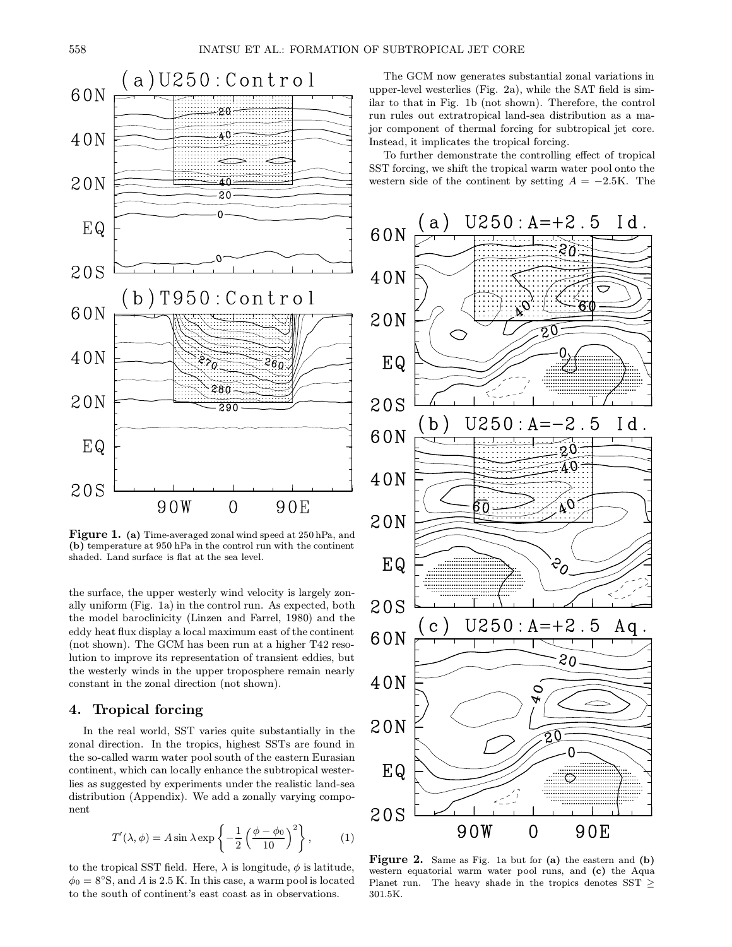

Figure 1. (a) Time-averaged zonal wind speed at 250 hPa, and (b) temperature at 950 hPa in the control run with the continent shaded. Land surface is flat at the sea level.

the surface, the upper westerly wind velocity is largely zonally uniform (Fig. 1a) in the control run. As expected, both the model baroclinicity (Linzen and Farrel, 1980) and the eddy heat flux display a local maximum east of the continent (not shown). The GCM has been run at a higher T42 resolution to improve its representation of transient eddies, but the westerly winds in the upper troposphere remain nearly constant in the zonal direction (not shown).

## 4. Tropical forcing

In the real world, SST varies quite substantially in the zonal direction. In the tropics, highest SSTs are found in the so-called warm water pool south of the eastern Eurasian continent, which can locally enhance the subtropical westerlies as suggested by experiments under the realistic land-sea distribution (Appendix). We add a zonally varying component

$$
T'(\lambda, \phi) = A \sin \lambda \exp \left\{-\frac{1}{2} \left(\frac{\phi - \phi_0}{10}\right)^2\right\},\qquad(1)
$$

to the tropical SST field. Here,  $\lambda$  is longitude,  $\phi$  is latitude,  $\phi_0 = 8^\circ$ S, and A is 2.5 K. In this case, a warm pool is located to the south of continent's east coast as in observations.

The GCM now generates substantial zonal variations in upper-level westerlies (Fig. 2a), while the SAT field is similar to that in Fig. 1b (not shown). Therefore, the control run rules out extratropical land-sea distribution as a major component of thermal forcing for subtropical jet core. Instead, it implicates the tropical forcing.

To further demonstrate the controlling effect of tropical SST forcing, we shift the tropical warm water pool onto the western side of the continent by setting  $A = -2.5K$ . The



Figure 2. Same as Fig. 1a but for (a) the eastern and (b) western equatorial warm water pool runs, and (c) the Aqua Planet run. The heavy shade in the tropics denotes SST  $\geq$ 301.5K.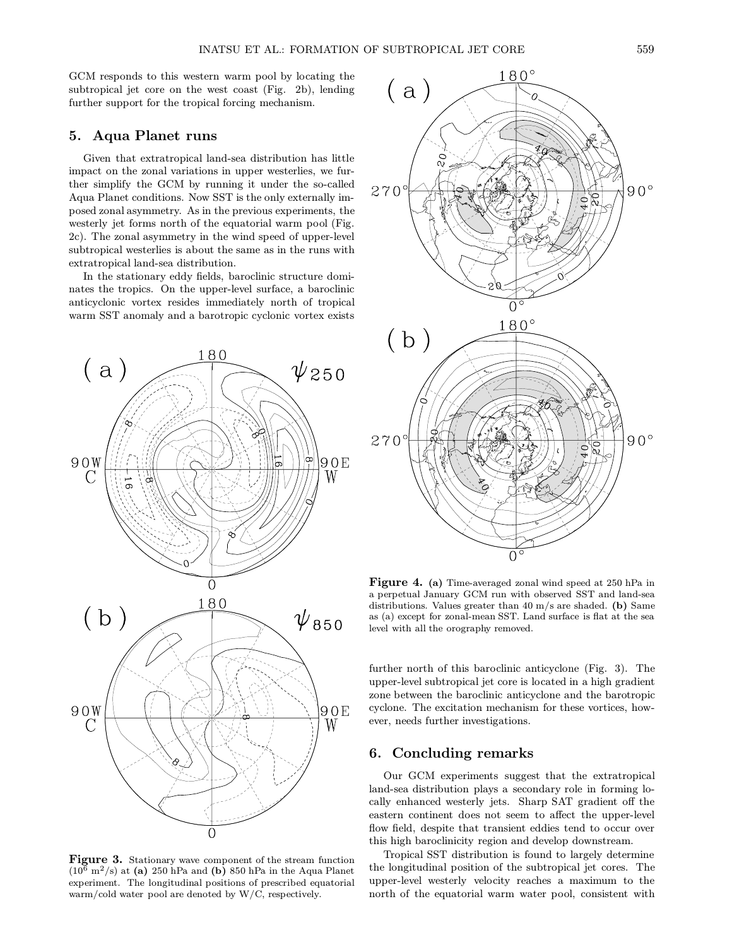GCM responds to this western warm pool by locating the subtropical jet core on the west coast (Fig. 2b), lending further support for the tropical forcing mechanism.

### 5. Aqua Planet runs

Given that extratropical land-sea distribution has little impact on the zonal variations in upper westerlies, we further simplify the GCM by running it under the so-called Aqua Planet conditions. Now SST is the only externally imposed zonal asymmetry. As in the previous experiments, the westerly jet forms north of the equatorial warm pool (Fig. 2c). The zonal asymmetry in the wind speed of upper-level subtropical westerlies is about the same as in the runs with extratropical land-sea distribution.

In the stationary eddy fields, baroclinic structure dominates the tropics. On the upper-level surface, a baroclinic anticyclonic vortex resides immediately north of tropical warm SST anomaly and a barotropic cyclonic vortex exists



Figure 3. Stationary wave component of the stream function  $(10^6 \text{ m}^2/\text{s})$  at (a) 250 hPa and (b) 850 hPa in the Aqua Planet experiment. The longitudinal positions of prescribed equatorial warm/cold water pool are denoted by W/C, respectively.



Figure 4. (a) Time-averaged zonal wind speed at 250 hPa in a perpetual January GCM run with observed SST and land-sea distributions. Values greater than 40 m/s are shaded. (b) Same as (a) except for zonal-mean SST. Land surface is flat at the sea level with all the orography removed.

further north of this baroclinic anticyclone (Fig. 3). The upper-level subtropical jet core is located in a high gradient zone between the baroclinic anticyclone and the barotropic cyclone. The excitation mechanism for these vortices, however, needs further investigations.

#### 6. Concluding remarks

Our GCM experiments suggest that the extratropical land-sea distribution plays a secondary role in forming locally enhanced westerly jets. Sharp SAT gradient off the eastern continent does not seem to affect the upper-level flow field, despite that transient eddies tend to occur over this high baroclinicity region and develop downstream.

Tropical SST distribution is found to largely determine the longitudinal position of the subtropical jet cores. The upper-level westerly velocity reaches a maximum to the north of the equatorial warm water pool, consistent with